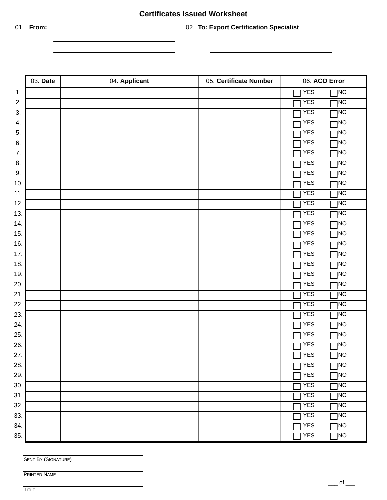## **Certificates Issued Worksheet**

 $\overline{\phantom{a}}$ 

01. **From:** 02. **To: Export Certification Specialist**

| 03. Date | 04. Applicant | 05. Certificate Number | 06. ACO Error                 |
|----------|---------------|------------------------|-------------------------------|
| 1.       |               |                        | <b>YES</b><br>]NO             |
| 2.       |               |                        | <b>YES</b><br><b>TNO</b>      |
| 3.       |               |                        | <b>YES</b><br><b>INO</b>      |
| 4.       |               |                        | <b>YES</b><br>ηNO             |
| 5.       |               |                        | <b>YES</b><br><b>NO</b>       |
| 6.       |               |                        | <b>YES</b><br><b>INO</b>      |
| 7.       |               |                        | <b>YES</b><br><b>NO</b>       |
| 8.       |               |                        | <b>YES</b><br><b>TNO</b>      |
| 9.       |               |                        | <b>YES</b><br><b>NO</b>       |
| 10.      |               |                        | <b>YES</b><br><b>INO</b>      |
| 11.      |               |                        | <b>YES</b><br><b>NO</b>       |
| 12.      |               |                        | <b>YES</b><br><b>NO</b>       |
| 13.      |               |                        | <b>YES</b><br><b>NO</b>       |
| 14.      |               |                        | <b>YES</b><br><b>TNO</b>      |
| 15.      |               |                        | <b>YES</b><br><b>NO</b>       |
| 16.      |               |                        | <b>YES</b><br><b>NO</b>       |
| 17.      |               |                        | <b>YES</b><br><b>INO</b>      |
| 18.      |               |                        | <b>YES</b><br><b>INO</b>      |
| 19.      |               |                        | <b>YES</b><br><b>INO</b>      |
| 20.      |               |                        | <b>YES</b><br><b>TNO</b>      |
| 21.      |               |                        | <b>YES</b><br><b>NO</b>       |
| 22.      |               |                        | <b>YES</b><br><b>INO</b>      |
| 23.      |               |                        | <b>YES</b><br><b>INO</b>      |
| 24.      |               |                        | <b>YES</b><br><b>NO</b>       |
| 25.      |               |                        | <b>YES</b><br><b>NO</b>       |
| 26.      |               |                        | <b>YES</b><br><b>INO</b>      |
| 27.      |               |                        | $\sqrt{ }$ YES<br>$\Box$ NO   |
| 28.      |               |                        | <b>YES</b><br><b>TNO</b>      |
| 29.      |               |                        | <b>YES</b><br>JNO             |
| 30.      |               |                        | <b>YES</b><br><b>NO</b>       |
| 31.      |               |                        | <b>YES</b><br>INO             |
| 32.      |               |                        | <b>YES</b><br><b>DNL</b>      |
| 33.      |               |                        | <b>YES</b><br>NO <sub>1</sub> |
| 34.      |               |                        | <b>YES</b><br><b>NO</b>       |
| 35.      |               |                        | NO <sub>1</sub><br><b>YES</b> |

÷

SENT BY (SIGNATURE)

PRINTED NAME